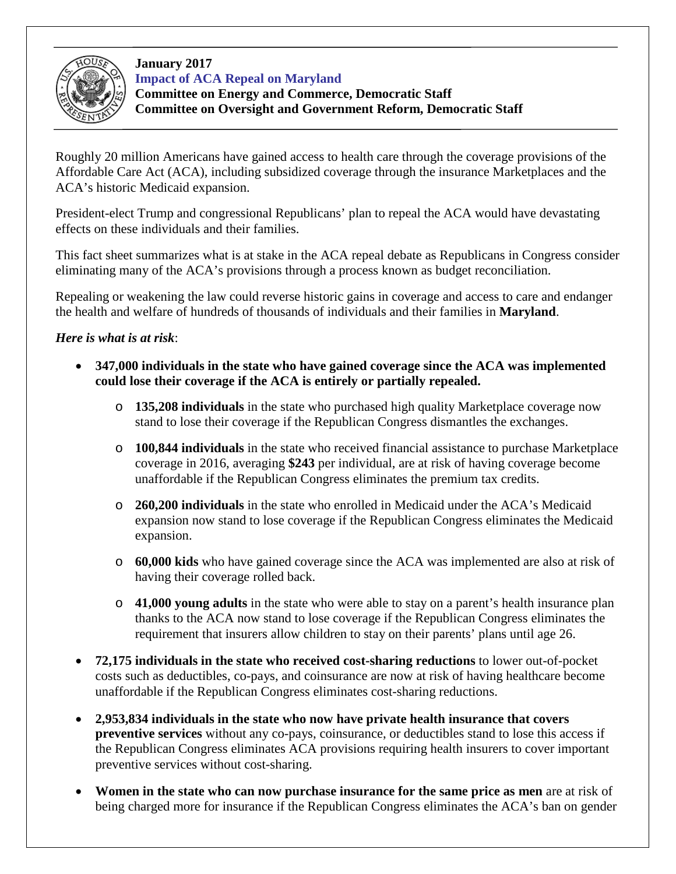

## **January 2017 Impact of ACA Repeal on Maryland**

**Committee on Energy and Commerce, Democratic Staff Committee on Oversight and Government Reform, Democratic Staff**

Roughly 20 million Americans have gained access to health care through the coverage provisions of the Affordable Care Act (ACA), including subsidized coverage through the insurance Marketplaces and the ACA's historic Medicaid expansion.

President-elect Trump and congressional Republicans' plan to repeal the ACA would have devastating effects on these individuals and their families.

This fact sheet summarizes what is at stake in the ACA repeal debate as Republicans in Congress consider eliminating many of the ACA's provisions through a process known as budget reconciliation.

Repealing or weakening the law could reverse historic gains in coverage and access to care and endanger the health and welfare of hundreds of thousands of individuals and their families in **Maryland**.

## *Here is what is at risk*:

- **347,000 individuals in the state who have gained coverage since the ACA was implemented could lose their coverage if the ACA is entirely or partially repealed.**
	- o **135,208 individuals** in the state who purchased high quality Marketplace coverage now stand to lose their coverage if the Republican Congress dismantles the exchanges.
	- o **100,844 individuals** in the state who received financial assistance to purchase Marketplace coverage in 2016, averaging **\$243** per individual, are at risk of having coverage become unaffordable if the Republican Congress eliminates the premium tax credits.
	- o **260,200 individuals** in the state who enrolled in Medicaid under the ACA's Medicaid expansion now stand to lose coverage if the Republican Congress eliminates the Medicaid expansion.
	- o **60,000 kids** who have gained coverage since the ACA was implemented are also at risk of having their coverage rolled back.
	- o **41,000 young adults** in the state who were able to stay on a parent's health insurance plan thanks to the ACA now stand to lose coverage if the Republican Congress eliminates the requirement that insurers allow children to stay on their parents' plans until age 26.
- **72,175 individuals in the state who received cost-sharing reductions** to lower out-of-pocket costs such as deductibles, co-pays, and coinsurance are now at risk of having healthcare become unaffordable if the Republican Congress eliminates cost-sharing reductions.
- **2,953,834 individuals in the state who now have private health insurance that covers preventive services** without any co-pays, coinsurance, or deductibles stand to lose this access if the Republican Congress eliminates ACA provisions requiring health insurers to cover important preventive services without cost-sharing.
- **Women in the state who can now purchase insurance for the same price as men** are at risk of being charged more for insurance if the Republican Congress eliminates the ACA's ban on gender